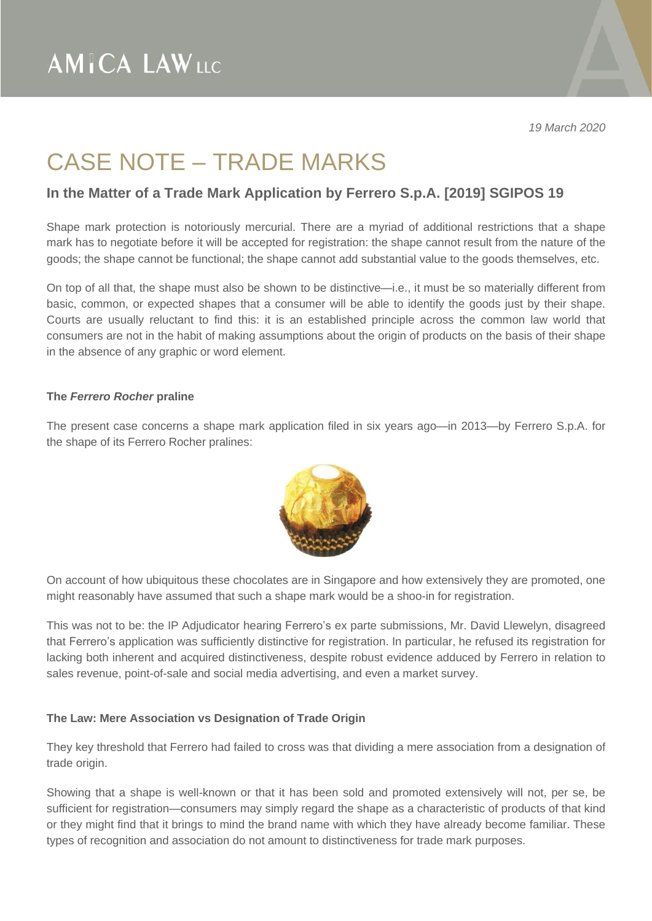## CASE NOTE – TRADE MARKS

### **In the Matter of a Trade Mark Application by Ferrero S.p.A. [2019] SGIPOS 19**

Shape mark protection is notoriously mercurial. There are a myriad of additional restrictions that a shape mark has to negotiate before it will be accepted for registration: the shape cannot result from the nature of the goods; the shape cannot be functional; the shape cannot add substantial value to the goods themselves, etc.

On top of all that, the shape must also be shown to be distinctive—i.e., it must be so materially different from basic, common, or expected shapes that a consumer will be able to identify the goods just by their shape. Courts are usually reluctant to find this: it is an established principle across the common law world that consumers are not in the habit of making assumptions about the origin of products on the basis of their shape in the absence of any graphic or word element.

#### **The** *Ferrero Rocher* **praline**

The present case concerns a shape mark application filed in six years ago—in 2013—by Ferrero S.p.A. for the shape of its Ferrero Rocher pralines:



On account of how ubiquitous these chocolates are in Singapore and how extensively they are promoted, one might reasonably have assumed that such a shape mark would be a shoo-in for registration.

This was not to be: the IP Adjudicator hearing Ferrero's ex parte submissions, Mr. David Llewelyn, disagreed that Ferrero's application was sufficiently distinctive for registration. In particular, he refused its registration for lacking both inherent and acquired distinctiveness, despite robust evidence adduced by Ferrero in relation to sales revenue, point-of-sale and social media advertising, and even a market survey.

#### **The Law: Mere Association vs Designation of Trade Origin**

They key threshold that Ferrero had failed to cross was that dividing a mere association from a designation of trade origin.

Showing that a shape is well-known or that it has been sold and promoted extensively will not, per se, be sufficient for registration—consumers may simply regard the shape as a characteristic of products of that kind or they might find that it brings to mind the brand name with which they have already become familiar. These types of recognition and association do not amount to distinctiveness for trade mark purposes.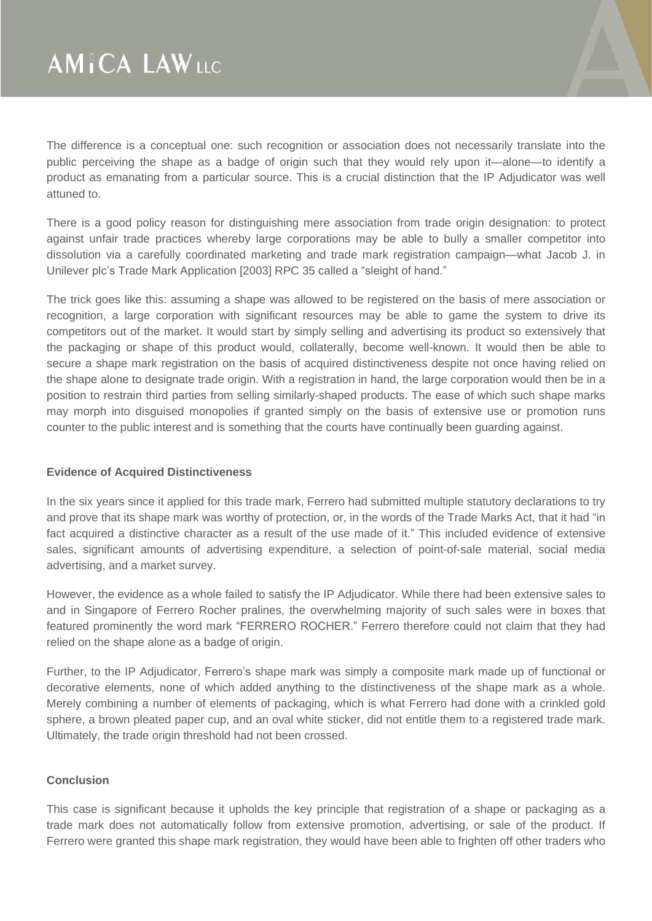The difference is a conceptual one: such recognition or association does not necessarily translate into the public perceiving the shape as a badge of origin such that they would rely upon it—alone—to identify a product as emanating from a particular source. This is a crucial distinction that the IP Adjudicator was well attuned to.

There is a good policy reason for distinguishing mere association from trade origin designation: to protect against unfair trade practices whereby large corporations may be able to bully a smaller competitor into dissolution via a carefully coordinated marketing and trade mark registration campaign—what Jacob J. in Unilever plc's Trade Mark Application [2003] RPC 35 called a "sleight of hand."

The trick goes like this: assuming a shape was allowed to be registered on the basis of mere association or recognition, a large corporation with significant resources may be able to game the system to drive its competitors out of the market. It would start by simply selling and advertising its product so extensively that the packaging or shape of this product would, collaterally, become well-known. It would then be able to secure a shape mark registration on the basis of acquired distinctiveness despite not once having relied on the shape alone to designate trade origin. With a registration in hand, the large corporation would then be in a position to restrain third parties from selling similarly-shaped products. The ease of which such shape marks may morph into disguised monopolies if granted simply on the basis of extensive use or promotion runs counter to the public interest and is something that the courts have continually been guarding against.

#### **Evidence of Acquired Distinctiveness**

In the six years since it applied for this trade mark, Ferrero had submitted multiple statutory declarations to try and prove that its shape mark was worthy of protection, or, in the words of the Trade Marks Act, that it had "in fact acquired a distinctive character as a result of the use made of it." This included evidence of extensive sales, significant amounts of advertising expenditure, a selection of point-of-sale material, social media advertising, and a market survey.

However, the evidence as a whole failed to satisfy the IP Adjudicator. While there had been extensive sales to and in Singapore of Ferrero Rocher pralines, the overwhelming majority of such sales were in boxes that featured prominently the word mark "FERRERO ROCHER." Ferrero therefore could not claim that they had relied on the shape alone as a badge of origin.

Further, to the IP Adjudicator, Ferrero's shape mark was simply a composite mark made up of functional or decorative elements, none of which added anything to the distinctiveness of the shape mark as a whole. Merely combining a number of elements of packaging, which is what Ferrero had done with a crinkled gold sphere, a brown pleated paper cup, and an oval white sticker, did not entitle them to a registered trade mark. Ultimately, the trade origin threshold had not been crossed.

#### **Conclusion**

This case is significant because it upholds the key principle that registration of a shape or packaging as a trade mark does not automatically follow from extensive promotion, advertising, or sale of the product. If Ferrero were granted this shape mark registration, they would have been able to frighten off other traders who